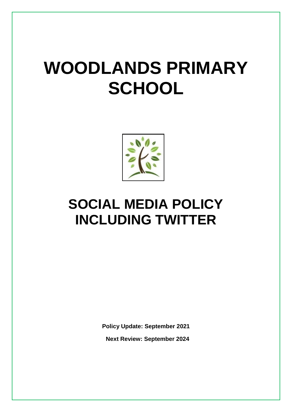# **WOODLANDS PRIMARY SCHOOL**



# **SOCIAL MEDIA POLICY INCLUDING TWITTER**

**Policy Update: September 2021 Next Review: September 2024**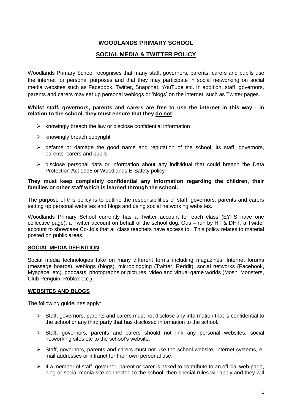# **WOODLANDS PRIMARY SCHOOL**

# **SOCIAL MEDIA & TWITTER POLICY**

Woodlands Primary School recognises that many staff, governors, parents, carers and pupils use the internet for personal purposes and that they may participate in social networking on social media websites such as Facebook, Twitter, Snapchat, YouTube etc. In addition, staff, governors, parents and carers may set up personal weblogs or 'blogs' on the internet, such as Twitter pages.

#### **Whilst staff, governors, parents and carers are free to use the internet in this way - in relation to the school, they must ensure that they do not:**

- $\triangleright$  knowingly breach the law or disclose confidential information
- $\triangleright$  knowingly breach copyright
- $\triangleright$  defame or damage the good name and reputation of the school, its staff, governors, parents, carers and pupils
- $\triangleright$  disclose personal data or information about any individual that could breach the Data Protection Act 1998 or Woodlands E-Safety policy

#### **They must keep completely confidential any information regarding the children, their families or other staff which is learned through the school.**

The purpose of this policy is to outline the responsibilities of staff, governors, parents and carers setting up personal websites and blogs and using social networking websites.

Woodlands Primary School currently has a Twitter account for each class (EYFS have one collective page), a Twitter account on behalf of the school dog, Gus – run by HT & DHT, a Twitter account to showcase Co-Jo's that all class teachers have access to. This policy relates to material posted on public areas.

#### **SOCIAL MEDIA DEFINITION**

Social media technologies take on many different forms including magazines, Internet forums (message boards), weblogs (blogs), microblogging (Twitter, Reddit), social networks (Facebook, Myspace, etc), podcasts, photographs or pictures, video and virtual game worlds (Moshi Monsters, Club Penguin, Roblox etc.).

#### **WEBSITES AND BLOGS**

The following guidelines apply:

- $\triangleright$  Staff, governors, parents and carers must not disclose any information that is confidential to the school or any third party that has disclosed information to the school.
- Staff, governors, parents and carers should not link any personal websites, social networking sites etc to the school's website.
- $\triangleright$  Staff, governors, parents and carers must not use the school website, internet systems, email addresses or intranet for their own personal use.
- $\triangleright$  If a member of staff, governor, parent or carer is asked to contribute to an official web page, blog or social media site connected to the school, then special rules will apply and they will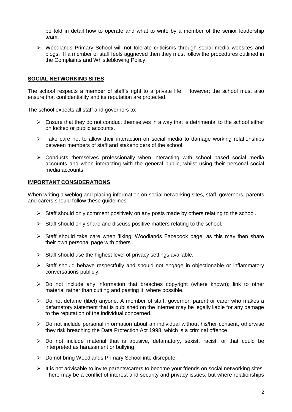be told in detail how to operate and what to write by a member of the senior leadership team.

 $\triangleright$  Woodlands Primary School will not tolerate criticisms through social media websites and blogs. If a member of staff feels aggrieved then they must follow the procedures outlined in the Complaints and Whistleblowing Policy.

#### **SOCIAL NETWORKING SITES**

The school respects a member of staff's right to a private life. However; the school must also ensure that confidentiality and its reputation are protected.

The school expects all staff and governors to:

- $\triangleright$  Ensure that they do not conduct themselves in a way that is detrimental to the school either on locked or public accounts.
- $\triangleright$  Take care not to allow their interaction on social media to damage working relationships between members of staff and stakeholders of the school.
- $\triangleright$  Conducts themselves professionally when interacting with school based social media accounts and when interacting with the general public, whilst using their personal social media accounts.

#### **IMPORTANT CONSIDERATIONS**

When writing a weblog and placing information on social networking sites, staff, governors, parents and carers should follow these guidelines:

- $\triangleright$  Staff should only comment positively on any posts made by others relating to the school.
- $\triangleright$  Staff should only share and discuss positive matters relating to the school.
- $\triangleright$  Staff should take care when 'liking' Woodlands Facebook page, as this may then share their own personal page with others.
- $\triangleright$  Staff should use the highest level of privacy settings available.
- $\triangleright$  Staff should behave respectfully and should not engage in objectionable or inflammatory conversations publicly.
- $\triangleright$  Do not include any information that breaches copyright (where known); link to other material rather than cutting and pasting it, where possible.
- $\triangleright$  Do not defame (libel) anyone. A member of staff, governor, parent or carer who makes a defamatory statement that is published on the internet may be legally liable for any damage to the reputation of the individual concerned.
- $\triangleright$  Do not include personal information about an individual without his/her consent, otherwise they risk breaching the Data Protection Act 1998, which is a criminal offence.
- $\triangleright$  Do not include material that is abusive, defamatory, sexist, racist, or that could be interpreted as harassment or bullying.
- $\triangleright$  Do not bring Woodlands Primary School into disrepute.
- $\triangleright$  It is not advisable to invite parents/carers to become your friends on social networking sites. There may be a conflict of interest and security and privacy issues, but where relationships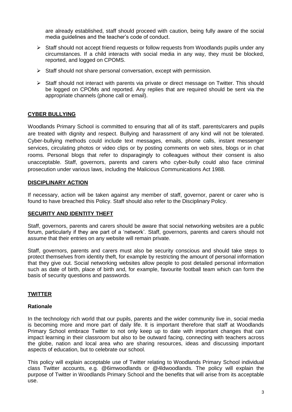are already established, staff should proceed with caution, being fully aware of the social media guidelines and the teacher's code of conduct.

- $\triangleright$  Staff should not accept friend requests or follow requests from Woodlands pupils under any circumstances. If a child interacts with social media in any way, they must be blocked, reported, and logged on CPOMS.
- $\triangleright$  Staff should not share personal conversation, except with permission.
- $\triangleright$  Staff should not interact with parents via private or direct message on Twitter. This should be logged on CPOMs and reported. Any replies that are required should be sent via the appropriate channels (phone call or email).

## **CYBER BULLYING**

Woodlands Primary School is committed to ensuring that all of its staff, parents/carers and pupils are treated with dignity and respect. Bullying and harassment of any kind will not be tolerated. Cyber-bullying methods could include text messages, emails, phone calls, instant messenger services, circulating photos or video clips or by posting comments on web sites, blogs or in chat rooms. Personal blogs that refer to disparagingly to colleagues without their consent is also unacceptable. Staff, governors, parents and carers who cyber-bully could also face criminal prosecution under various laws, including the Malicious Communications Act 1988.

#### **DISCIPLINARY ACTION**

If necessary, action will be taken against any member of staff, governor, parent or carer who is found to have breached this Policy. Staff should also refer to the Disciplinary Policy.

#### **SECURITY AND IDENTITY THEFT**

Staff, governors, parents and carers should be aware that social networking websites are a public forum, particularly if they are part of a 'network'. Staff, governors, parents and carers should not assume that their entries on any website will remain private.

Staff, governors, parents and carers must also be security conscious and should take steps to protect themselves from identity theft, for example by restricting the amount of personal information that they give out. Social networking websites allow people to post detailed personal information such as date of birth, place of birth and, for example, favourite football team which can form the basis of security questions and passwords.

#### **TWITTER**

#### **Rationale**

In the technology rich world that our pupils, parents and the wider community live in, social media is becoming more and more part of daily life. It is important therefore that staff at Woodlands Primary School embrace Twitter to not only keep up to date with important changes that can impact learning in their classroom but also to be outward facing, connecting with teachers across the globe, nation and local area who are sharing resources, ideas and discussing important aspects of education, but to celebrate our school.

This policy will explain acceptable use of Twitter relating to Woodlands Primary School individual class Twitter accounts, e.g. @6imwoodlands or @4ldwoodlands. The policy will explain the purpose of Twitter in Woodlands Primary School and the benefits that will arise from its acceptable use.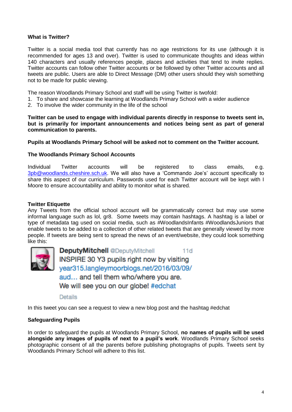#### **What is Twitter?**

Twitter is a social media tool that currently has no age restrictions for its use (although it is recommended for ages 13 and over). Twitter is used to communicate thoughts and ideas within 140 characters and usually references people, places and activities that tend to invite replies. Twitter accounts can follow other Twitter accounts or be followed by other Twitter accounts and all tweets are public. Users are able to Direct Message (DM) other users should they wish something not to be made for public viewing.

The reason Woodlands Primary School and staff will be using Twitter is twofold:

- 1. To share and showcase the learning at Woodlands Primary School with a wider audience
- 2. To involve the wider community in the life of the school

**Twitter can be used to engage with individual parents directly in response to tweets sent in, but is primarily for important announcements and notices being sent as part of general communication to parents.** 

#### **Pupils at Woodlands Primary School will be asked not to comment on the Twitter account.**

#### **The Woodlands Primary School Accounts**

Individual Twitter accounts will be registered to class emails, e.g. [3pb@woodlands.cheshire.sch.uk.](mailto:3pb@woodlands.cheshire.sch.uk) We will also have a 'Commando Joe's' account specifically to share this aspect of our curriculum. Passwords used for each Twitter account will be kept with I Moore to ensure accountability and ability to monitor what is shared.

#### **Twitter Etiquette**

Any Tweets from the official school account will be grammatically correct but may use some informal language such as lol, gr8. Some tweets may contain hashtags. A hashtag is a label or type of metadata tag used on social media, such as #WoodlandsInfants #WoodlandsJuniors that enable tweets to be added to a collection of other related tweets that are generally viewed by more people. If tweets are being sent to spread the news of an event/website, they could look something like this:



**DeputyMitchell @DeputyMitchell**  $11d$ INSPIRE 30 Y3 pupils right now by visiting year315.langleymoorblogs.net/2016/03/09/ aud... and tell them who/where you are. We will see you on our globe! #edchat

**Details** 

In this tweet you can see a request to view a new blog post and the hashtag #edchat

#### **Safeguarding Pupils**

In order to safeguard the pupils at Woodlands Primary School, **no names of pupils will be used alongside any images of pupils of next to a pupil's work**. Woodlands Primary School seeks photographic consent of all the parents before publishing photographs of pupils. Tweets sent by Woodlands Primary School will adhere to this list.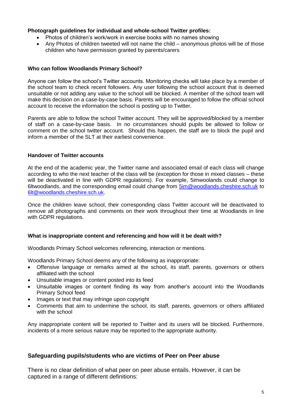#### **Photograph guidelines for individual and whole-school Twitter profiles:**

- Photos of children's work/work in exercise books with no names showing
- Any Photos of children tweeted will not name the child anonymous photos will be of those children who have permission granted by parents/carers

#### **Who can follow Woodlands Primary School?**

Anyone can follow the school's Twitter accounts. Monitoring checks will take place by a member of the school team to check recent followers. Any user following the school account that is deemed unsuitable or not adding any value to the school will be blocked. A member of the school team will make this decision on a case-by-case basis. Parents will be encouraged to follow the official school account to receive the information the school is posting up to Twitter.

Parents are able to follow the school Twitter account. They will be approved/blocked by a member of staff on a case-by-case basis. In no circumstances should pupils be allowed to follow or comment on the school twitter account. Should this happen, the staff are to block the pupil and inform a member of the SLT at their earliest convenience.

#### **Handover of Twitter accounts**

At the end of the academic year, the Twitter name and associated email of each class will change according to who the next teacher of the class will be (exception for those in mixed classes – these will be deactivated in line with GDPR regulations). For example, 5imwoolands could change to 6ltwoodlands, and the corresponding email could change from  $5$ im@woodlands.cheshire.sch.uk to [6lt@woodlands.cheshire.sch.uk.](mailto:6lt@woodlands.cheshire.sch.uk)

Once the children leave school, their corresponding class Twitter account will be deactivated to remove all photographs and comments on their work throughout their time at Woodlands in line with GDPR regulations.

#### **What is inappropriate content and referencing and how will it be dealt with?**

Woodlands Primary School welcomes referencing, interaction or mentions.

Woodlands Primary School deems any of the following as inappropriate:

- Offensive language or remarks aimed at the school, its staff, parents, governors or others affiliated with the school
- Unsuitable images or content posted into its feed
- Unsuitable images or content finding its way from another's account into the Woodlands Primary School feed
- Images or text that may infringe upon copyright
- Comments that aim to undermine the school, its staff, parents, governors or others affiliated with the school

Any inappropriate content will be reported to Twitter and its users will be blocked. Furthermore, incidents of a more serious nature may be reported to the appropriate authority.

#### **Safeguarding pupils/students who are victims of Peer on Peer abuse**

There is no clear definition of what peer on peer abuse entails. However, it can be captured in a range of different definitions: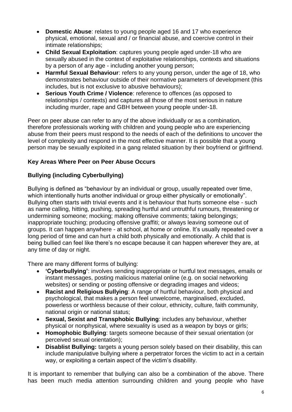- **Domestic Abuse**: relates to young people aged 16 and 17 who experience physical, emotional, sexual and / or financial abuse, and coercive control in their intimate relationships;
- **Child Sexual Exploitation**: captures young people aged under-18 who are sexually abused in the context of exploitative relationships, contexts and situations by a person of any age - including another young person;
- **Harmful Sexual Behaviour**: refers to any young person, under the age of 18, who demonstrates behaviour outside of their normative parameters of development (this includes, but is not exclusive to abusive behaviours);
- **Serious Youth Crime / Violence**: reference to offences (as opposed to relationships / contexts) and captures all those of the most serious in nature including murder, rape and GBH between young people under-18.

Peer on peer abuse can refer to any of the above individually or as a combination, therefore professionals working with children and young people who are experiencing abuse from their peers must respond to the needs of each of the definitions to uncover the level of complexity and respond in the most effective manner. It is possible that a young person may be sexually exploited in a gang related situation by their boyfriend or girlfriend.

# **Key Areas Where Peer on Peer Abuse Occurs**

# **Bullying (including Cyberbullying)**

Bullying is defined as "behaviour by an individual or group, usually repeated over time, which intentionally hurts another individual or group either physically or emotionally". Bullying often starts with trivial events and it is behaviour that hurts someone else - such as name calling, hitting, pushing, spreading hurtful and untruthful rumours, threatening or undermining someone; mocking; making offensive comments; taking belongings; inappropriate touching; producing offensive graffiti; or always leaving someone out of groups. It can happen anywhere - at school, at home or online. It's usually repeated over a long period of time and can hurt a child both physically and emotionally. A child that is being bullied can feel like there's no escape because it can happen wherever they are, at any time of day or night.

There are many different forms of bullying:

- **'Cyberbullying'**: involves sending inappropriate or hurtful text messages, emails or instant messages, posting malicious material online (e.g. on social networking websites) or sending or posting offensive or degrading images and videos;
- **Racist and Religious Bullying**: A range of hurtful behaviour, both physical and psychological, that makes a person feel unwelcome, marginalised, excluded, powerless or worthless because of their colour, ethnicity, culture, faith community, national origin or national status;
- **Sexual, Sexist and Transphobic Bullying**: includes any behaviour, whether physical or nonphysical, where sexuality is used as a weapon by boys or girls;
- **Homophobic Bullying**: targets someone because of their sexual orientation (or perceived sexual orientation);
- **Disablist Bullying:** targets a young person solely based on their disability, this can include manipulative bullying where a perpetrator forces the victim to act in a certain way, or exploiting a certain aspect of the victim's disability.

It is important to remember that bullying can also be a combination of the above. There has been much media attention surrounding children and young people who have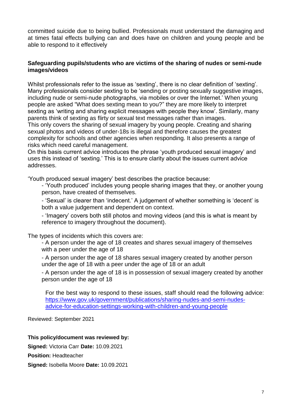committed suicide due to being bullied. Professionals must understand the damaging and at times fatal effects bullying can and does have on children and young people and be able to respond to it effectively

## **Safeguarding pupils/students who are victims of the sharing of nudes or semi-nude images/videos**

Whilst professionals refer to the issue as 'sexting', there is no clear definition of 'sexting'. Many professionals consider sexting to be 'sending or posting sexually suggestive images, including nude or semi-nude photographs, via mobiles or over the Internet.' When young people are asked "What does sexting mean to you?" they are more likely to interpret sexting as 'writing and sharing explicit messages with people they know'. Similarly, many parents think of sexting as flirty or sexual text messages rather than images.

This only covers the sharing of sexual imagery by young people. Creating and sharing sexual photos and videos of under-18s is illegal and therefore causes the greatest complexity for schools and other agencies when responding. It also presents a range of risks which need careful management.

On this basis current advice introduces the phrase 'youth produced sexual imagery' and uses this instead of 'sexting.' This is to ensure clarity about the issues current advice addresses.

'Youth produced sexual imagery' best describes the practice because:

- 'Youth produced' includes young people sharing images that they, or another young person, have created of themselves.

- 'Sexual' is clearer than 'indecent.' A judgement of whether something is 'decent' is both a value judgement and dependent on context.

- 'Imagery' covers both still photos and moving videos (and this is what is meant by reference to imagery throughout the document).

The types of incidents which this covers are:

- A person under the age of 18 creates and shares sexual imagery of themselves with a peer under the age of 18

- A person under the age of 18 shares sexual imagery created by another person under the age of 18 with a peer under the age of 18 or an adult

- A person under the age of 18 is in possession of sexual imagery created by another person under the age of 18

For the best way to respond to these issues, staff should read the following advice: [https://www.gov.uk/government/publications/sharing-nudes-and-semi-nudes](https://www.gov.uk/government/publications/sharing-nudes-and-semi-nudes-advice-for-education-settings-working-with-children-and-young-people)[advice-for-education-settings-working-with-children-and-young-people](https://www.gov.uk/government/publications/sharing-nudes-and-semi-nudes-advice-for-education-settings-working-with-children-and-young-people)

Reviewed: September 2021

**This policy/document was reviewed by:**

**Signed:** Victoria Carr **Date:** 10.09.2021

**Position:** Headteacher

**Signed:** Isobella Moore **Date:** 10.09.2021